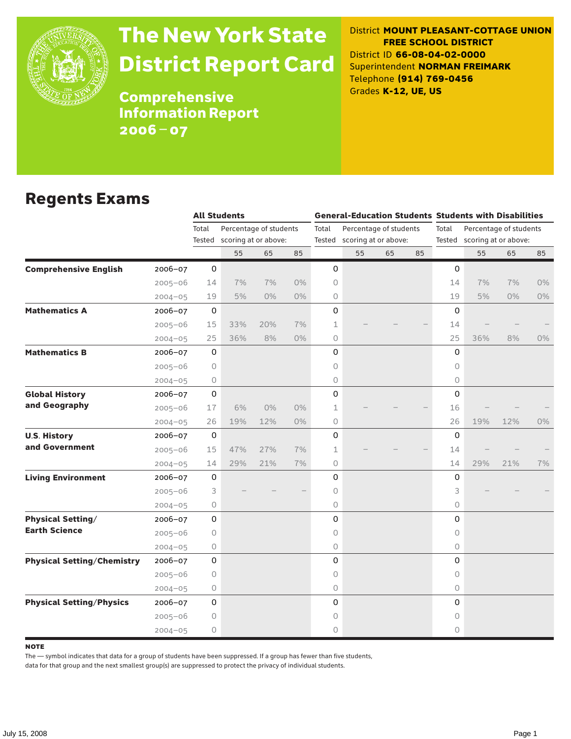

# The New York State District Report Card

District **MOUNT PLEASANT-COTTAGE UNION FREE SCHOOL DISTRICT** District ID **66-08-04-02-0000** Superintendent **NORMAN FREIMARK** Telephone **(914) 769-0456** Grades **K-12, UE, US**

**Comprehensive** Information Report 2006–07

#### Regents Exams

|                                   |             |              | <b>All Students</b>         |       |       |             |                             |                        |    |             | <b>General-Education Students Students with Disabilities</b> |       |    |  |
|-----------------------------------|-------------|--------------|-----------------------------|-------|-------|-------------|-----------------------------|------------------------|----|-------------|--------------------------------------------------------------|-------|----|--|
|                                   |             | Total        | Percentage of students      |       |       | Total       |                             | Percentage of students |    | Total       | Percentage of students                                       |       |    |  |
|                                   |             |              | Tested scoring at or above: |       |       |             | Tested scoring at or above: |                        |    |             | Tested scoring at or above:                                  |       |    |  |
|                                   |             |              | 55                          | 65    | 85    |             | 55                          | 65                     | 85 |             | 55                                                           | 65    | 85 |  |
| <b>Comprehensive English</b>      | $2006 - 07$ | 0            |                             |       |       | 0           |                             |                        |    | $\mathbf 0$ |                                                              |       |    |  |
|                                   | $2005 - 06$ | 14           | 7%                          | 7%    | $0\%$ | 0           |                             |                        |    | 14          | 7%                                                           | 7%    | 0% |  |
|                                   | $2004 - 05$ | 19           | 5%                          | $0\%$ | $0\%$ | 0           |                             |                        |    | 19          | 5%                                                           | $0\%$ | 0% |  |
| <b>Mathematics A</b>              | $2006 - 07$ | $\mathsf{O}$ |                             |       |       | 0           |                             |                        |    | $\Omega$    |                                                              |       |    |  |
|                                   | $2005 - 06$ | 15           | 33%                         | 20%   | 7%    | $\mathbf 1$ |                             |                        |    | 14          |                                                              |       |    |  |
|                                   | $2004 - 05$ | 25           | 36%                         | 8%    | $0\%$ | 0           |                             |                        |    | 25          | 36%                                                          | 8%    | 0% |  |
| <b>Mathematics B</b>              | 2006-07     | 0            |                             |       |       | 0           |                             |                        |    | $\Omega$    |                                                              |       |    |  |
|                                   | $2005 - 06$ | 0            |                             |       |       | 0           |                             |                        |    | $\circ$     |                                                              |       |    |  |
|                                   | $2004 - 05$ | 0            |                             |       |       | 0           |                             |                        |    | $\circ$     |                                                              |       |    |  |
| <b>Global History</b>             | $2006 - 07$ | 0            |                             |       |       | 0           |                             |                        |    | $\mathsf O$ |                                                              |       |    |  |
| and Geography                     | $2005 - 06$ | 17           | 6%                          | 0%    | $0\%$ | 1           |                             |                        |    | 16          |                                                              |       |    |  |
|                                   | $2004 - 05$ | 26           | 19%                         | 12%   | $0\%$ | 0           |                             |                        |    | 26          | 19%                                                          | 12%   | 0% |  |
| <b>U.S. History</b>               | 2006-07     | $\mathsf{O}$ |                             |       |       | 0           |                             |                        |    | 0           |                                                              |       |    |  |
| and Government                    | $2005 - 06$ | 15           | 47%                         | 27%   | 7%    | 1           |                             |                        |    | 14          |                                                              |       |    |  |
|                                   | $2004 - 05$ | 14           | 29%                         | 21%   | 7%    | 0           |                             |                        |    | 14          | 29%                                                          | 21%   | 7% |  |
| <b>Living Environment</b>         | 2006-07     | 0            |                             |       |       | 0           |                             |                        |    | 0           |                                                              |       |    |  |
|                                   | $2005 - 06$ | 3            |                             |       |       | 0           |                             |                        |    | 3           |                                                              |       |    |  |
|                                   | $2004 - 05$ | $\circ$      |                             |       |       | 0           |                             |                        |    | $\Omega$    |                                                              |       |    |  |
| <b>Physical Setting/</b>          | 2006-07     | $\mathbf 0$  |                             |       |       | 0           |                             |                        |    | $\Omega$    |                                                              |       |    |  |
| <b>Earth Science</b>              | $2005 - 06$ | 0            |                             |       |       | 0           |                             |                        |    | $\circ$     |                                                              |       |    |  |
|                                   | $2004 - 05$ | 0            |                             |       |       | 0           |                             |                        |    | $\circ$     |                                                              |       |    |  |
| <b>Physical Setting/Chemistry</b> | $2006 - 07$ | 0            |                             |       |       | 0           |                             |                        |    | $\Omega$    |                                                              |       |    |  |
|                                   | $2005 - 06$ | 0            |                             |       |       | 0           |                             |                        |    | 0           |                                                              |       |    |  |
|                                   | $2004 - 05$ | 0            |                             |       |       | 0           |                             |                        |    | $\circ$     |                                                              |       |    |  |
| <b>Physical Setting/Physics</b>   | $2006 - 07$ | 0            |                             |       |       | 0           |                             |                        |    | $\Omega$    |                                                              |       |    |  |
|                                   | $2005 - 06$ | 0            |                             |       |       | 0           |                             |                        |    | 0           |                                                              |       |    |  |
|                                   | $2004 - 05$ | 0            |                             |       |       | 0           |                             |                        |    | $\circ$     |                                                              |       |    |  |

**NOTE** 

The — symbol indicates that data for a group of students have been suppressed. If a group has fewer than five students,

data for that group and the next smallest group(s) are suppressed to protect the privacy of individual students.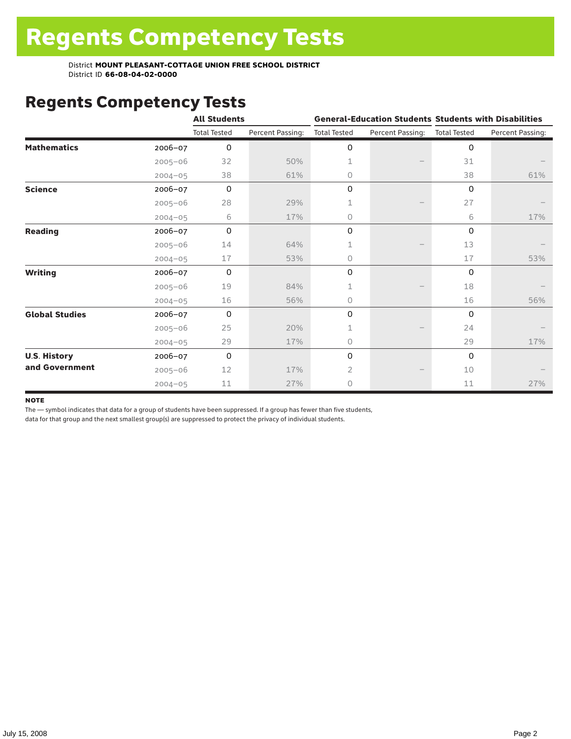District **MOUNT PLEASANT-COTTAGE UNION FREE SCHOOL DISTRICT** District ID **66-08-04-02-0000**

#### Regents Competency Tests

|                       |             | <b>All Students</b> |                  |                     |                  | <b>General-Education Students Students with Disabilities</b> |                  |  |  |
|-----------------------|-------------|---------------------|------------------|---------------------|------------------|--------------------------------------------------------------|------------------|--|--|
|                       |             | <b>Total Tested</b> | Percent Passing: | <b>Total Tested</b> | Percent Passing: | <b>Total Tested</b>                                          | Percent Passing: |  |  |
| <b>Mathematics</b>    | 2006-07     | $\mathbf 0$         |                  | 0                   |                  | 0                                                            |                  |  |  |
|                       | $2005 - 06$ | 32                  | 50%              | 1                   |                  | 31                                                           |                  |  |  |
|                       | $2004 - 05$ | 38                  | 61%              | 0                   |                  | 38                                                           | 61%              |  |  |
| <b>Science</b>        | 2006-07     | $\mathbf 0$         |                  | 0                   |                  | 0                                                            |                  |  |  |
|                       | $2005 - 06$ | 28                  | 29%              | 1                   |                  | 27                                                           |                  |  |  |
|                       | $2004 - 05$ | 6                   | 17%              | 0                   |                  | 6                                                            | 17%              |  |  |
| <b>Reading</b>        | 2006-07     | $\Omega$            |                  | 0                   |                  | $\Omega$                                                     |                  |  |  |
|                       | $2005 - 06$ | 14                  | 64%              | 1                   |                  | 13                                                           |                  |  |  |
|                       | $2004 - 05$ | 17                  | 53%              | 0                   |                  | 17                                                           | 53%              |  |  |
| <b>Writing</b>        | 2006-07     | $\Omega$            |                  | 0                   |                  | $\Omega$                                                     |                  |  |  |
|                       | $2005 - 06$ | 19                  | 84%              | 1                   |                  | 18                                                           |                  |  |  |
|                       | $2004 - 05$ | 16                  | 56%              | 0                   |                  | 16                                                           | 56%              |  |  |
| <b>Global Studies</b> | 2006-07     | $\mathbf 0$         |                  | 0                   |                  | $\Omega$                                                     |                  |  |  |
|                       | $2005 - 06$ | 25                  | 20%              | 1                   |                  | 24                                                           |                  |  |  |
|                       | $2004 - 05$ | 29                  | 17%              | 0                   |                  | 29                                                           | 17%              |  |  |
| <b>U.S. History</b>   | 2006-07     | $\Omega$            |                  | 0                   |                  | $\Omega$                                                     |                  |  |  |
| and Government        | $2005 - 06$ | 12                  | 17%              | 2                   |                  | 10                                                           |                  |  |  |
|                       | $2004 - 05$ | 11                  | 27%              | 0                   |                  | 11                                                           | 27%              |  |  |

#### **NOTE**

The — symbol indicates that data for a group of students have been suppressed. If a group has fewer than five students,

data for that group and the next smallest group(s) are suppressed to protect the privacy of individual students.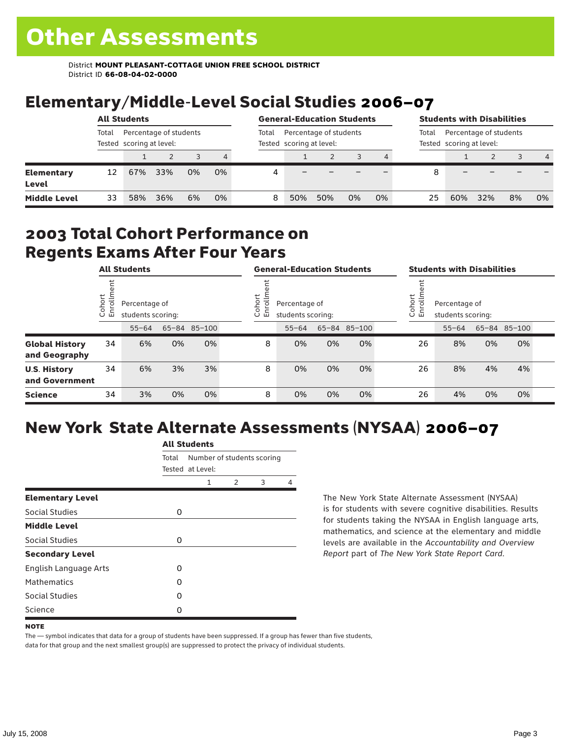District **MOUNT PLEASANT-COTTAGE UNION FREE SCHOOL DISTRICT** District ID **66-08-04-02-0000**

## Elementary/Middle-Level Social Studies 2006–07

|                            | <b>All Students</b>                                         |     |     |    |       |                                                    | <b>General-Education Students</b> |     |    |       | <b>Students with Disabilities</b>                  |     |     |    |                |
|----------------------------|-------------------------------------------------------------|-----|-----|----|-------|----------------------------------------------------|-----------------------------------|-----|----|-------|----------------------------------------------------|-----|-----|----|----------------|
|                            | Percentage of students<br>Total<br>Tested scoring at level: |     |     |    | Total | Percentage of students<br>Tested scoring at level: |                                   |     |    | Total | Percentage of students<br>Tested scoring at level: |     |     |    |                |
|                            |                                                             |     |     |    | 4     |                                                    |                                   |     |    |       |                                                    |     |     | 3  | $\overline{4}$ |
| <b>Elementary</b><br>Level | 12                                                          | 67% | 33% | 0% | 0%    | Д                                                  |                                   |     |    |       | 8                                                  |     |     |    |                |
| <b>Middle Level</b>        | 33                                                          | 58% | 36% | 6% | 0%    | 8                                                  | 50%                               | 50% | 0% | 0%    | 25                                                 | 60% | 32% | 8% | 0%             |

#### 2003 Total Cohort Performance on Regents Exams After Four Years

|                                        | <b>All Students</b>     |                                    |    |              |        | <b>General-Education Students</b>                        |           |    |              |  | <b>Students with Disabilities</b>                           |           |    |              |  |
|----------------------------------------|-------------------------|------------------------------------|----|--------------|--------|----------------------------------------------------------|-----------|----|--------------|--|-------------------------------------------------------------|-----------|----|--------------|--|
|                                        | Cohort<br>$\circ$<br>一山 | Percentage of<br>students scoring: |    |              | Cohort | $\frac{5}{2}$<br>Percentage of<br>띧<br>students scoring: |           |    |              |  | Cohort<br>들<br>Percentage of<br>ā<br>훕<br>students scoring: |           |    |              |  |
|                                        |                         | $55 - 64$                          |    | 65-84 85-100 |        |                                                          | $55 - 64$ |    | 65-84 85-100 |  |                                                             | $55 - 64$ |    | 65-84 85-100 |  |
| <b>Global History</b><br>and Geography | 34                      | 6%                                 | 0% | 0%           |        | 8                                                        | 0%        | 0% | 0%           |  | 26                                                          | 8%        | 0% | 0%           |  |
| <b>U.S. History</b><br>and Government  | 34                      | 6%                                 | 3% | 3%           |        | 8                                                        | 0%        | 0% | 0%           |  | 26                                                          | 8%        | 4% | 4%           |  |
| <b>Science</b>                         | 34                      | 3%                                 | 0% | 0%           |        | 8                                                        | 0%        | 0% | 0%           |  | 26                                                          | 4%        | 0% | 0%           |  |

## New York State Alternate Assessments (NYSAA) 2006–07

|                              | <b>All Students</b> |                                                |               |   |   |  |  |  |  |
|------------------------------|---------------------|------------------------------------------------|---------------|---|---|--|--|--|--|
|                              | Total               | Number of students scoring<br>Tested at Level: |               |   |   |  |  |  |  |
|                              |                     | 1                                              | $\mathcal{P}$ | 3 | 4 |  |  |  |  |
| <b>Elementary Level</b>      |                     |                                                |               |   |   |  |  |  |  |
| Social Studies               | 0                   |                                                |               |   |   |  |  |  |  |
| <b>Middle Level</b>          |                     |                                                |               |   |   |  |  |  |  |
| Social Studies               | 0                   |                                                |               |   |   |  |  |  |  |
| <b>Secondary Level</b>       |                     |                                                |               |   |   |  |  |  |  |
| <b>English Language Arts</b> | O                   |                                                |               |   |   |  |  |  |  |
| <b>Mathematics</b>           | Ω                   |                                                |               |   |   |  |  |  |  |
| Social Studies               | O                   |                                                |               |   |   |  |  |  |  |
| Science                      | Ω                   |                                                |               |   |   |  |  |  |  |

The New York State Alternate Assessment (NYSAA) is for students with severe cognitive disabilities. Results for students taking the NYSAA in English language arts, mathematics, and science at the elementary and middle levels are available in the *Accountability and Overview Report* part of *The New York State Report Card*.

The — symbol indicates that data for a group of students have been suppressed. If a group has fewer than five students, data for that group and the next smallest group(s) are suppressed to protect the privacy of individual students.

**NOTE**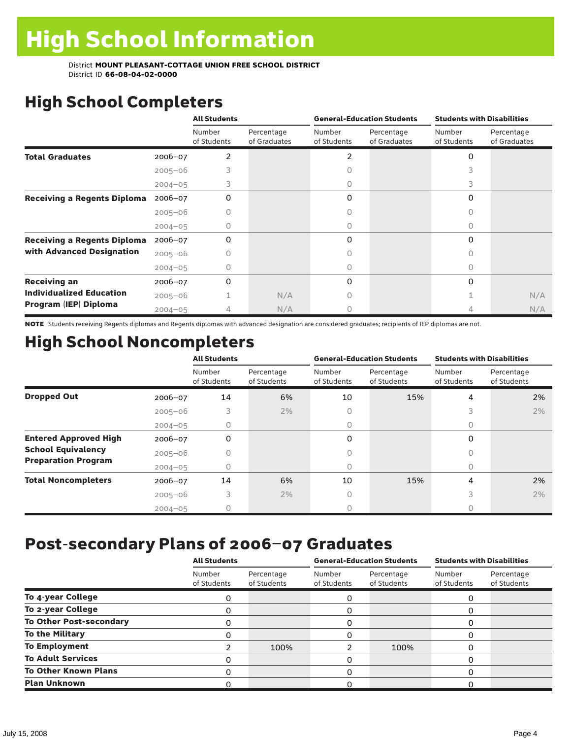District **MOUNT PLEASANT-COTTAGE UNION FREE SCHOOL DISTRICT** District ID **66-08-04-02-0000**

## High School Completers

|                                    |             | <b>All Students</b>   |                            |                       | <b>General-Education Students</b> | <b>Students with Disabilities</b> |                            |  |
|------------------------------------|-------------|-----------------------|----------------------------|-----------------------|-----------------------------------|-----------------------------------|----------------------------|--|
|                                    |             | Number<br>of Students | Percentage<br>of Graduates | Number<br>of Students | Percentage<br>of Graduates        | Number<br>of Students             | Percentage<br>of Graduates |  |
| <b>Total Graduates</b>             | $2006 - 07$ | 2                     |                            | 2                     |                                   | 0                                 |                            |  |
|                                    | $2005 - 06$ |                       |                            |                       |                                   |                                   |                            |  |
|                                    | $2004 - 05$ | 3                     |                            | 0                     |                                   | 3                                 |                            |  |
| <b>Receiving a Regents Diploma</b> | $2006 - 07$ | 0                     |                            | 0                     |                                   | 0                                 |                            |  |
|                                    | $2005 - 06$ |                       |                            |                       |                                   | $\bigcap$                         |                            |  |
|                                    | $2004 - 05$ |                       |                            | 0                     |                                   | 0                                 |                            |  |
| <b>Receiving a Regents Diploma</b> | $2006 - 07$ | 0                     |                            | 0                     |                                   | 0                                 |                            |  |
| with Advanced Designation          | $2005 - 06$ |                       |                            |                       |                                   | 0                                 |                            |  |
|                                    | $2004 - 05$ |                       |                            |                       |                                   | 0                                 |                            |  |
| <b>Receiving an</b>                | 2006-07     | 0                     |                            | 0                     |                                   | 0                                 |                            |  |
| <b>Individualized Education</b>    | $2005 - 06$ |                       | N/A                        |                       |                                   |                                   | N/A                        |  |
| Program (IEP) Diploma              | $2004 - 05$ | 4                     | N/A                        | Ω                     |                                   |                                   | N/A                        |  |

NOTE Students receiving Regents diplomas and Regents diplomas with advanced designation are considered graduates; recipients of IEP diplomas are not.

## High School Noncompleters

|                              |             | <b>All Students</b>   |                           |                       | <b>General-Education Students</b> | <b>Students with Disabilities</b> |                           |  |
|------------------------------|-------------|-----------------------|---------------------------|-----------------------|-----------------------------------|-----------------------------------|---------------------------|--|
|                              |             | Number<br>of Students | Percentage<br>of Students | Number<br>of Students | Percentage<br>of Students         | Number<br>of Students             | Percentage<br>of Students |  |
| <b>Dropped Out</b>           | 2006-07     | 14                    | 6%                        | 10                    | 15%                               | 4                                 | 2%                        |  |
|                              | $2005 - 06$ | 3                     | 2%                        | 0                     |                                   | 3                                 | 2%                        |  |
|                              | $2004 - 05$ | 0                     |                           | 0                     |                                   | 0                                 |                           |  |
| <b>Entered Approved High</b> | 2006-07     | 0                     |                           | 0                     |                                   | 0                                 |                           |  |
| <b>School Equivalency</b>    | $2005 - 06$ |                       |                           | 0                     |                                   |                                   |                           |  |
| <b>Preparation Program</b>   | $2004 - 05$ | 0                     |                           | 0                     |                                   | 0                                 |                           |  |
| <b>Total Noncompleters</b>   | $2006 - 07$ | 14                    | 6%                        | 10                    | 15%                               | 4                                 | 2%                        |  |
|                              | $2005 - 06$ | 3                     | 2%                        | 0                     |                                   | 3                                 | 2%                        |  |
|                              | $2004 - 05$ |                       |                           |                       |                                   |                                   |                           |  |

### Post-secondary Plans of 2006–07 Graduates

|                                | <b>All Students</b>   |                           |                       | <b>General-Education Students</b> | <b>Students with Disabilities</b> |                           |  |
|--------------------------------|-----------------------|---------------------------|-----------------------|-----------------------------------|-----------------------------------|---------------------------|--|
|                                | Number<br>of Students | Percentage<br>of Students | Number<br>of Students | Percentage<br>of Students         | Number<br>of Students             | Percentage<br>of Students |  |
| To 4-year College              | 0                     |                           | 0                     |                                   | 0                                 |                           |  |
| To 2-year College              | ი                     |                           | 0                     |                                   | O                                 |                           |  |
| <b>To Other Post-secondary</b> | 0                     |                           | 0                     |                                   | 0                                 |                           |  |
| <b>To the Military</b>         | ი                     |                           | 0                     |                                   | 0                                 |                           |  |
| <b>To Employment</b>           |                       | 100%                      |                       | 100%                              | O                                 |                           |  |
| <b>To Adult Services</b>       | O                     |                           | 0                     |                                   | $\Omega$                          |                           |  |
| <b>To Other Known Plans</b>    | O                     |                           | 0                     |                                   | O                                 |                           |  |
| <b>Plan Unknown</b>            |                       |                           | 0                     |                                   | n                                 |                           |  |